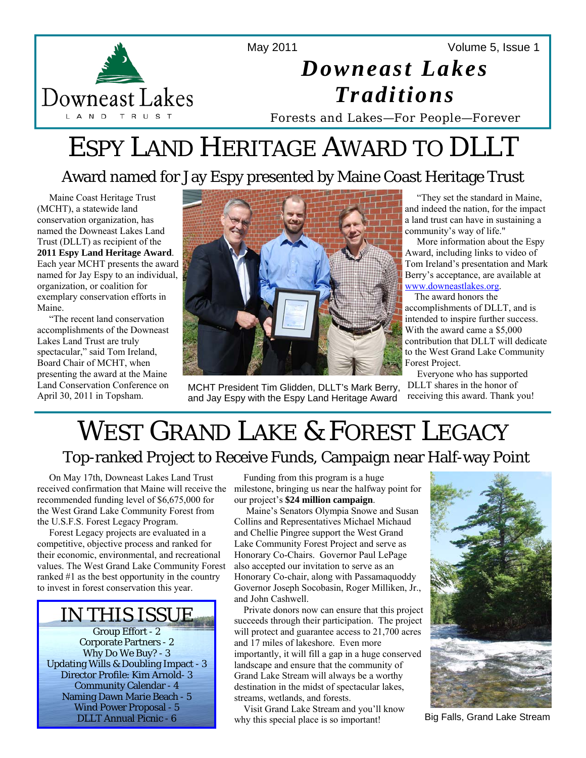

Volume 5, Issue 1



# *Downeast Lakes Traditions*

Forests and Lakes—For People—Forever

# ESPY LAND HERITAGE AWARD TO DLLT

# Award named for Jay Espy presented by Maine Coast Heritage Trust

 Maine Coast Heritage Trust (MCHT), a statewide land conservation organization, has named the Downeast Lakes Land Trust (DLLT) as recipient of the **2011 Espy Land Heritage Award**. Each year MCHT presents the award named for Jay Espy to an individual, organization, or coalition for exemplary conservation efforts in Maine.

 "The recent land conservation accomplishments of the Downeast Lakes Land Trust are truly spectacular," said Tom Ireland, Board Chair of MCHT, when presenting the award at the Maine Land Conservation Conference on April 30, 2011 in Topsham.



MCHT President Tim Glidden, DLLT's Mark Berry, and Jay Espy with the Espy Land Heritage Award

 "They set the standard in Maine, and indeed the nation, for the impact a land trust can have in sustaining a community's way of life."

 More information about the Espy Award, including links to video of Tom Ireland's presentation and Mark Berry's acceptance, are available at www.downeastlakes.org.

The award honors the

accomplishments of DLLT, and is intended to inspire further success. With the award came a \$5,000 contribution that DLLT will dedicate to the West Grand Lake Community Forest Project.

 Everyone who has supported DLLT shares in the honor of receiving this award. Thank you!

# WEST GRAND LAKE & FOREST LEGACY<br>Top-ranked Project to Receive Funds, Campaign near Half-way Point

 On May 17th, Downeast Lakes Land Trust recommended funding level of \$6,675,000 for the West Grand Lake Community Forest from the U.S.F.S. Forest Legacy Program.

 Forest Legacy projects are evaluated in a competitive, objective process and ranked for their economic, environmental, and recreational values. The West Grand Lake Community Forest ranked #1 as the best opportunity in the country to invest in forest conservation this year.



received confirmation that Maine will receive the milestone, bringing us near the halfway point for Funding from this program is a huge our project's **\$24 million campaign**.

 Maine's Senators Olympia Snowe and Susan Collins and Representatives Michael Michaud and Chellie Pingree support the West Grand Lake Community Forest Project and serve as Honorary Co-Chairs. Governor Paul LePage also accepted our invitation to serve as an Honorary Co-chair, along with Passamaquoddy Governor Joseph Socobasin, Roger Milliken, Jr., and John Cashwell.

 Private donors now can ensure that this project succeeds through their participation. The project will protect and guarantee access to 21,700 acres and 17 miles of lakeshore. Even more importantly, it will fill a gap in a huge conserved landscape and ensure that the community of Grand Lake Stream will always be a worthy destination in the midst of spectacular lakes, streams, wetlands, and forests.

 Visit Grand Lake Stream and you'll know why this special place is so important!



Big Falls, Grand Lake Stream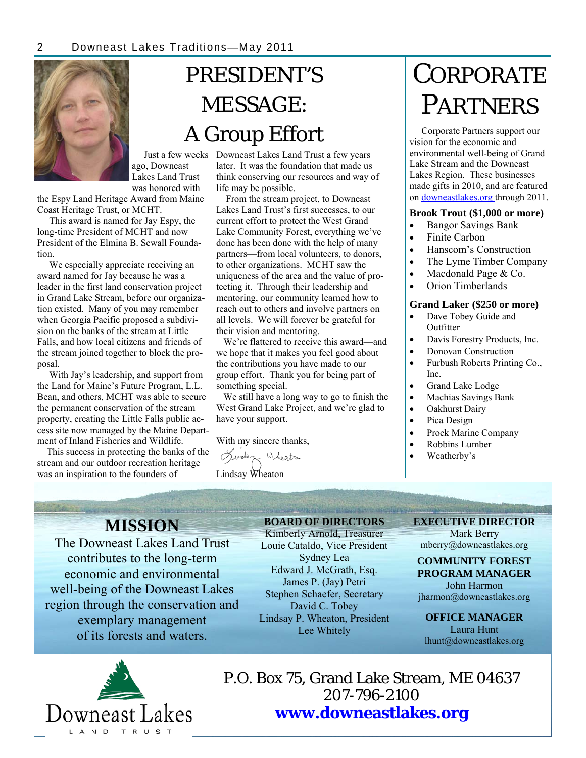

# PRESIDENT'S MESSAGE: A Group Effort

ago, Downeast Lakes Land Trust was honored with

the Espy Land Heritage Award from Maine Coast Heritage Trust, or MCHT.

 This award is named for Jay Espy, the long-time President of MCHT and now President of the Elmina B. Sewall Foundation.

 We especially appreciate receiving an award named for Jay because he was a leader in the first land conservation project in Grand Lake Stream, before our organization existed. Many of you may remember when Georgia Pacific proposed a subdivision on the banks of the stream at Little Falls, and how local citizens and friends of the stream joined together to block the proposal.

 With Jay's leadership, and support from the Land for Maine's Future Program, L.L. Bean, and others, MCHT was able to secure the permanent conservation of the stream property, creating the Little Falls public access site now managed by the Maine Department of Inland Fisheries and Wildlife.

 This success in protecting the banks of the stream and our outdoor recreation heritage was an inspiration to the founders of

 Just a few weeks Downeast Lakes Land Trust a few years later. It was the foundation that made us think conserving our resources and way of life may be possible.

> From the stream project, to Downeast Lakes Land Trust's first successes, to our current effort to protect the West Grand Lake Community Forest, everything we've done has been done with the help of many partners—from local volunteers, to donors, to other organizations. MCHT saw the uniqueness of the area and the value of protecting it. Through their leadership and mentoring, our community learned how to reach out to others and involve partners on all levels. We will forever be grateful for their vision and mentoring.

 We're flattered to receive this award—and we hope that it makes you feel good about the contributions you have made to our group effort. Thank you for being part of something special.

 We still have a long way to go to finish the West Grand Lake Project, and we're glad to have your support.

#### With my sincere thanks,

Girden Wheats

Lindsay Wheaton

# **CORPORATE** PARTNERS

 Corporate Partners support our vision for the economic and environmental well-being of Grand Lake Stream and the Downeast Lakes Region. These businesses made gifts in 2010, and are featured on downeastlakes.org through 2011.

#### **Brook Trout (\$1,000 or more)**

- Bangor Savings Bank
- Finite Carbon
- Hanscom's Construction
- The Lyme Timber Company
- Macdonald Page & Co.
- Orion Timberlands

#### **Grand Laker (\$250 or more)**

- Dave Tobey Guide and **Outfitter**
- Davis Forestry Products, Inc.
- Donovan Construction
- Furbush Roberts Printing Co., Inc.
- Grand Lake Lodge
- Machias Savings Bank
- Oakhurst Dairy
- Pica Design
- Prock Marine Company
- Robbins Lumber
- Weatherby's

# **MISSION**

The Downeast Lakes Land Trust contributes to the long-term economic and environmental well-being of the Downeast Lakes region through the conservation and exemplary management of its forests and waters.

**BOARD OF DIRECTORS**  Kimberly Arnold, Treasurer Louie Cataldo, Vice President Sydney Lea Edward J. McGrath, Esq. James P. (Jay) Petri Stephen Schaefer, Secretary David C. Tobey Lindsay P. Wheaton, President Lee Whitely

#### **EXECUTIVE DIRECTOR**  Mark Berry

mberry@downeastlakes.org

#### **COMMUNITY FOREST PROGRAM MANAGER**

John Harmon jharmon@downeastlakes.org

**OFFICE MANAGER**  Laura Hunt lhunt@downeastlakes.org



P.O. Box 75, Grand Lake Stream, ME 04637 207-796-2100 **www.downeastlakes.org**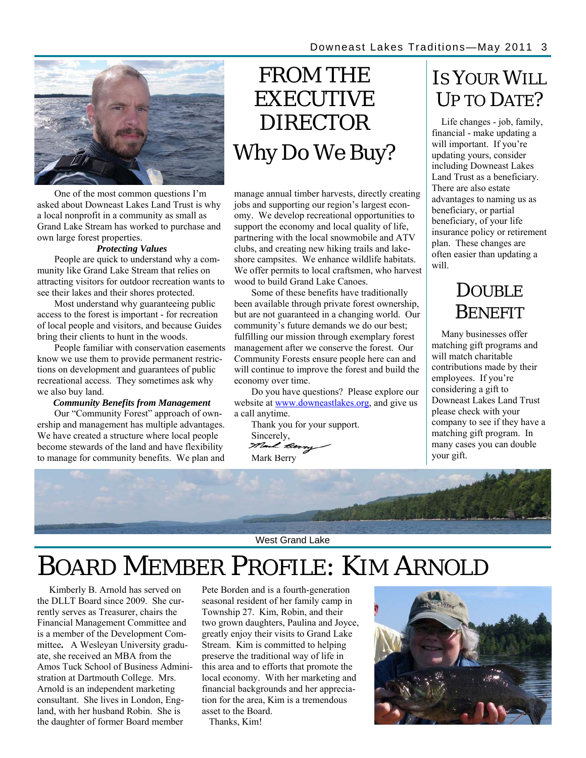

One of the most common questions I'm asked about Downeast Lakes Land Trust is why a local nonprofit in a community as small as Grand Lake Stream has worked to purchase and own large forest properties.

#### *Protecting Values*

People are quick to understand why a community like Grand Lake Stream that relies on attracting visitors for outdoor recreation wants to see their lakes and their shores protected.

Most understand why guaranteeing public access to the forest is important - for recreation of local people and visitors, and because Guides bring their clients to hunt in the woods.

People familiar with conservation easements know we use them to provide permanent restrictions on development and guarantees of public recreational access. They sometimes ask why we also buy land.

#### *Community Benefits from Management*

Our "Community Forest" approach of ownership and management has multiple advantages. We have created a structure where local people become stewards of the land and have flexibility to manage for community benefits. We plan and

# FROM THE **EXECUTIVE** DIRECTOR Why Do We Buy?

manage annual timber harvests, directly creating jobs and supporting our region's largest economy. We develop recreational opportunities to support the economy and local quality of life, partnering with the local snowmobile and ATV clubs, and creating new hiking trails and lakeshore campsites. We enhance wildlife habitats. We offer permits to local craftsmen, who harvest wood to build Grand Lake Canoes.

Some of these benefits have traditionally been available through private forest ownership, but are not guaranteed in a changing world. Our community's future demands we do our best; fulfilling our mission through exemplary forest management after we conserve the forest. Our Community Forests ensure people here can and will continue to improve the forest and build the economy over time.

Do you have questions? Please explore our website at www.downeastlakes.org, and give us a call anytime.

Thank you for your support. Sincerely, Mark Berry

# IS YOUR WILL UP TO DATE?

 Life changes - job, family, financial - make updating a will important. If you're updating yours, consider including Downeast Lakes Land Trust as a beneficiary. There are also estate advantages to naming us as beneficiary, or partial beneficiary, of your life insurance policy or retirement plan. These changes are often easier than updating a will.

# DOUBLE **BENEFIT**

 Many businesses offer matching gift programs and will match charitable contributions made by their employees. If you're considering a gift to Downeast Lakes Land Trust please check with your company to see if they have a matching gift program. In many cases you can double your gift.



West Grand Lake

# BOARD MEMBER PROFILE: KIM ARNOLD

 Kimberly B. Arnold has served on the DLLT Board since 2009. She currently serves as Treasurer, chairs the Financial Management Committee and is a member of the Development Committee**.** A Wesleyan University graduate, she received an MBA from the Amos Tuck School of Business Administration at Dartmouth College. Mrs. Arnold is an independent marketing consultant. She lives in London, England, with her husband Robin. She is the daughter of former Board member

Pete Borden and is a fourth-generation seasonal resident of her family camp in Township 27. Kim, Robin, and their two grown daughters, Paulina and Joyce, greatly enjoy their visits to Grand Lake Stream. Kim is committed to helping preserve the traditional way of life in this area and to efforts that promote the local economy. With her marketing and financial backgrounds and her appreciation for the area, Kim is a tremendous asset to the Board.

Thanks, Kim!

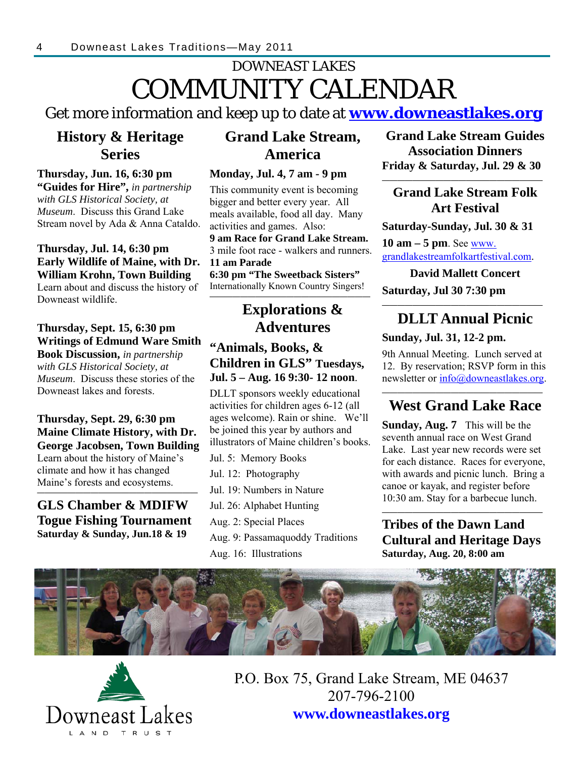# DOWNEAST LAKES COMMUNITY CALENDAR

Get more information and keep up to date at **www.downeastlakes.org**

### **History & Heritage Series**

### **Thursday, Jun. 16, 6:30 pm "Guides for Hire",** *in partnership*

*with GLS Historical Society, at Museum*. Discuss this Grand Lake Stream novel by Ada & Anna Cataldo.

### **Thursday, Jul. 14, 6:30 pm Early Wildlife of Maine, with Dr. William Krohn, Town Building**

Learn about and discuss the history of Downeast wildlife.

#### **Thursday, Sept. 15, 6:30 pm Writings of Edmund Ware Smith**

**Book Discussion,** *in partnership with GLS Historical Society, at Museum*. Discuss these stories of the Downeast lakes and forests.

#### **Thursday, Sept. 29, 6:30 pm Maine Climate History, with Dr. George Jacobsen, Town Building**  Learn about the history of Maine's climate and how it has changed Maine's forests and ecosystems.

### **GLS Chamber & MDIFW Togue Fishing Tournament Saturday & Sunday, Jun.18 & 19**

**—————————————————————** 

### **Grand Lake Stream, America**

### **Monday, Jul. 4, 7 am - 9 pm**

This community event is becoming bigger and better every year. All meals available, food all day. Many activities and games. Also:

**9 am Race for Grand Lake Stream.**  3 mile foot race - walkers and runners. **11 am Parade 6:30 pm "The Sweetback Sisters"**  Internationally Known Country Singers!

### **————————————————————— Explorations & Adventures**

### **"Animals, Books, & Children in GLS" Tuesdays, Jul. 5 – Aug. 16 9:30- 12 noon**.

DLLT sponsors weekly educational activities for children ages 6-12 (all ages welcome). Rain or shine. We'll be joined this year by authors and illustrators of Maine children's books.

Jul. 5: Memory Books

Jul. 12: Photography

Jul. 19: Numbers in Nature

Jul. 26: Alphabet Hunting

Aug. 2: Special Places

- Aug. 9: Passamaquoddy Traditions
- Aug. 16: Illustrations

### **Grand Lake Stream Guides Association Dinners Friday & Saturday, Jul. 29 & 30**

### **Grand Lake Stream Folk Art Festival**

**—————————————————————**

**Saturday-Sunday, Jul. 30 & 31** 

**10 am – 5 pm**. See www. grandlakestreamfolkartfestival.com.

**David Mallett Concert Saturday, Jul 30 7:30 pm** 

#### **————————————————————— DLLT Annual Picnic**

### **Sunday, Jul. 31, 12-2 pm.**

9th Annual Meeting. Lunch served at 12. By reservation; RSVP form in this newsletter or info@downeastlakes.org.

#### **————————————————————— West Grand Lake Race**

**Sunday, Aug. 7** This will be the seventh annual race on West Grand Lake. Last year new records were set for each distance. Races for everyone, with awards and picnic lunch. Bring a canoe or kayak, and register before 10:30 am. Stay for a barbecue lunch.

**Tribes of the Dawn Land Cultural and Heritage Days Saturday, Aug. 20, 8:00 am**

**—————————————————————**





P.O. Box 75, Grand Lake Stream, ME 04637 207-796-2100 **www.downeastlakes.org**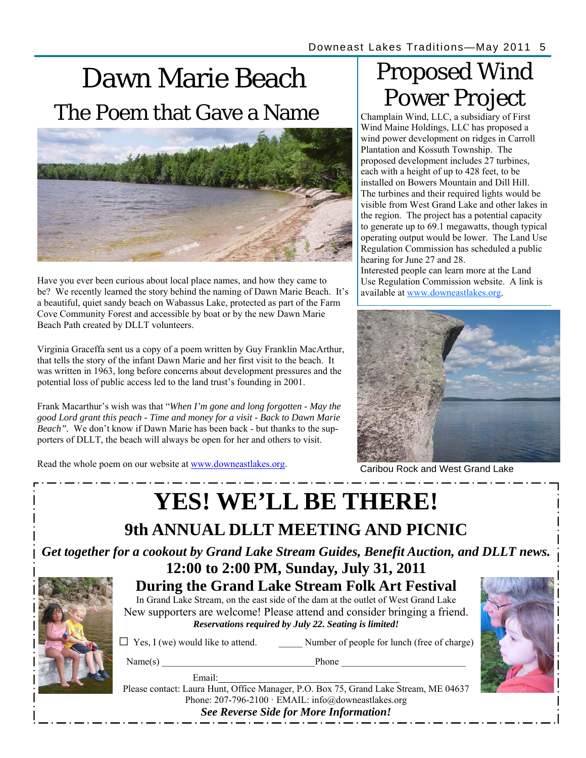# Dawn Marie Beach The Poem that Gave a Name



Have you ever been curious about local place names, and how they came to be? We recently learned the story behind the naming of Dawn Marie Beach. It's a beautiful, quiet sandy beach on Wabassus Lake, protected as part of the Farm Cove Community Forest and accessible by boat or by the new Dawn Marie Beach Path created by DLLT volunteers.

Virginia Graceffa sent us a copy of a poem written by Guy Franklin MacArthur, that tells the story of the infant Dawn Marie and her first visit to the beach. It was written in 1963, long before concerns about development pressures and the potential loss of public access led to the land trust's founding in 2001.

Frank Macarthur's wish was that "*When I'm gone and long forgotten - May the good Lord grant this peach - Time and money for a visit - Back to Dawn Marie Beach".* We don't know if Dawn Marie has been back - but thanks to the supporters of DLLT, the beach will always be open for her and others to visit.

Read the whole poem on our website at www.downeastlakes.org.<br>Caribou Rock and West Grand Lake

# Proposed Wind Power Project

Champlain Wind, LLC, a subsidiary of First Wind Maine Holdings, LLC has proposed a wind power development on ridges in Carroll Plantation and Kossuth Township. The proposed development includes 27 turbines, each with a height of up to 428 feet, to be installed on Bowers Mountain and Dill Hill. The turbines and their required lights would be visible from West Grand Lake and other lakes in the region. The project has a potential capacity to generate up to 69.1 megawatts, though typical operating output would be lower. The Land Use Regulation Commission has scheduled a public hearing for June 27 and 28.

Interested people can learn more at the Land Use Regulation Commission website. A link is available at www.downeastlakes.org.



| <b>YES! WE'LL BE THERE!</b>                                                                                                        |                   |                                                                                                                                                                                                                                                                                                                                                                                                                                                                                                                                                                             |  |
|------------------------------------------------------------------------------------------------------------------------------------|-------------------|-----------------------------------------------------------------------------------------------------------------------------------------------------------------------------------------------------------------------------------------------------------------------------------------------------------------------------------------------------------------------------------------------------------------------------------------------------------------------------------------------------------------------------------------------------------------------------|--|
| 9th ANNUAL DLLT MEETING AND PICNIC                                                                                                 |                   |                                                                                                                                                                                                                                                                                                                                                                                                                                                                                                                                                                             |  |
| Get together for a cookout by Grand Lake Stream Guides, Benefit Auction, and DLLT news.<br>12:00 to 2:00 PM, Sunday, July 31, 2011 |                   |                                                                                                                                                                                                                                                                                                                                                                                                                                                                                                                                                                             |  |
|                                                                                                                                    | Name(s)<br>Email: | During the Grand Lake Stream Folk Art Festival<br>In Grand Lake Stream, on the east side of the dam at the outlet of West Grand Lake<br>New supporters are welcome! Please attend and consider bringing a friend.<br>Reservations required by July 22. Seating is limited!<br>$\Box$ Yes, I (we) would like to attend. Number of people for lunch (free of charge)<br>Phone<br>Please contact: Laura Hunt, Office Manager, P.O. Box 75, Grand Lake Stream, ME 04637<br>Phone: 207-796-2100 · EMAIL: info@downeastlakes.org<br><b>See Reverse Side for More Information!</b> |  |